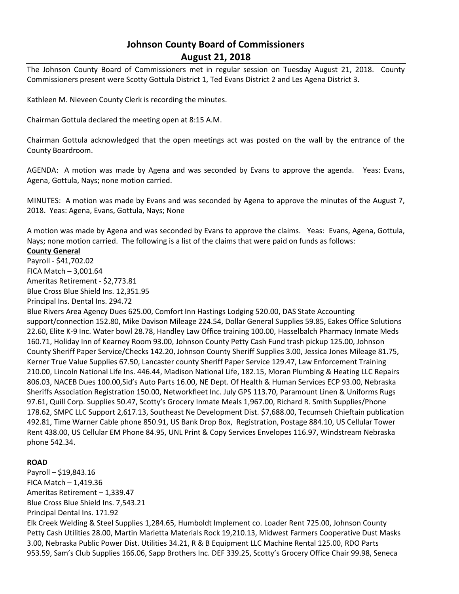# **Johnson County Board of Commissioners August 21, 2018**

The Johnson County Board of Commissioners met in regular session on Tuesday August 21, 2018. County Commissioners present were Scotty Gottula District 1, Ted Evans District 2 and Les Agena District 3.

Kathleen M. Nieveen County Clerk is recording the minutes.

Chairman Gottula declared the meeting open at 8:15 A.M.

Chairman Gottula acknowledged that the open meetings act was posted on the wall by the entrance of the County Boardroom.

AGENDA: A motion was made by Agena and was seconded by Evans to approve the agenda. Yeas: Evans, Agena, Gottula, Nays; none motion carried.

MINUTES: A motion was made by Evans and was seconded by Agena to approve the minutes of the August 7, 2018. Yeas: Agena, Evans, Gottula, Nays; None

A motion was made by Agena and was seconded by Evans to approve the claims. Yeas: Evans, Agena, Gottula, Nays; none motion carried. The following is a list of the claims that were paid on funds as follows:

#### **County General**

Payroll - \$41,702.02 FICA Match – 3,001.64 Ameritas Retirement - \$2,773.81 Blue Cross Blue Shield Ins. 12,351.95 Principal Ins. Dental Ins. 294.72

Blue Rivers Area Agency Dues 625.00, Comfort Inn Hastings Lodging 520.00, DAS State Accounting support/connection 152.80, Mike Davison Mileage 224.54, Dollar General Supplies 59.85, Eakes Office Solutions 22.60, Elite K-9 Inc. Water bowl 28.78, Handley Law Office training 100.00, Hasselbalch Pharmacy Inmate Meds 160.71, Holiday Inn of Kearney Room 93.00, Johnson County Petty Cash Fund trash pickup 125.00, Johnson County Sheriff Paper Service/Checks 142.20, Johnson County Sheriff Supplies 3.00, Jessica Jones Mileage 81.75, Kerner True Value Supplies 67.50, Lancaster county Sheriff Paper Service 129.47, Law Enforcement Training 210.00, Lincoln National Life Ins. 446.44, Madison National Life, 182.15, Moran Plumbing & Heating LLC Repairs 806.03, NACEB Dues 100.00,Sid's Auto Parts 16.00, NE Dept. Of Health & Human Services ECP 93.00, Nebraska Sheriffs Association Registration 150.00, Networkfleet Inc. July GPS 113.70, Paramount Linen & Uniforms Rugs 97.61, Quill Corp. Supplies 50.47, Scotty's Grocery Inmate Meals 1,967.00, Richard R. Smith Supplies/Phone 178.62, SMPC LLC Support 2,617.13, Southeast Ne Development Dist. \$7,688.00, Tecumseh Chieftain publication 492.81, Time Warner Cable phone 850.91, US Bank Drop Box, Registration, Postage 884.10, US Cellular Tower Rent 438.00, US Cellular EM Phone 84.95, UNL Print & Copy Services Envelopes 116.97, Windstream Nebraska phone 542.34.

#### **ROAD**

Payroll – \$19,843.16 FICA Match  $-1,419.36$ Ameritas Retirement – 1,339.47 Blue Cross Blue Shield Ins. 7,543.21 Principal Dental Ins. 171.92 Elk Creek Welding & Steel Supplies 1,284.65, Humboldt Implement co. Loader Rent 725.00, Johnson County Petty Cash Utilities 28.00, Martin Marietta Materials Rock 19,210.13, Midwest Farmers Cooperative Dust Masks 3.00, Nebraska Public Power Dist. Utilities 34.21, R & B Equipment LLC Machine Rental 125.00, RDO Parts 953.59, Sam's Club Supplies 166.06, Sapp Brothers Inc. DEF 339.25, Scotty's Grocery Office Chair 99.98, Seneca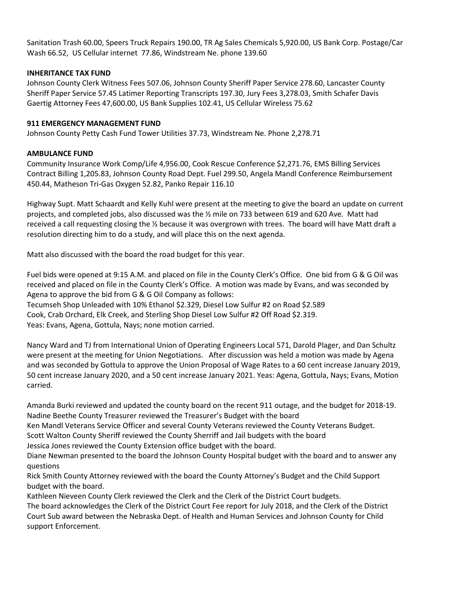Sanitation Trash 60.00, Speers Truck Repairs 190.00, TR Ag Sales Chemicals 5,920.00, US Bank Corp. Postage/Car Wash 66.52, US Cellular internet 77.86, Windstream Ne. phone 139.60

#### **INHERITANCE TAX FUND**

Johnson County Clerk Witness Fees 507.06, Johnson County Sheriff Paper Service 278.60, Lancaster County Sheriff Paper Service 57.45 Latimer Reporting Transcripts 197.30, Jury Fees 3,278.03, Smith Schafer Davis Gaertig Attorney Fees 47,600.00, US Bank Supplies 102.41, US Cellular Wireless 75.62

## **911 EMERGENCY MANAGEMENT FUND**

Johnson County Petty Cash Fund Tower Utilities 37.73, Windstream Ne. Phone 2,278.71

## **AMBULANCE FUND**

Community Insurance Work Comp/Life 4,956.00, Cook Rescue Conference \$2,271.76, EMS Billing Services Contract Billing 1,205.83, Johnson County Road Dept. Fuel 299.50, Angela Mandl Conference Reimbursement 450.44, Matheson Tri-Gas Oxygen 52.82, Panko Repair 116.10

Highway Supt. Matt Schaardt and Kelly Kuhl were present at the meeting to give the board an update on current projects, and completed jobs, also discussed was the ½ mile on 733 between 619 and 620 Ave. Matt had received a call requesting closing the ½ because it was overgrown with trees. The board will have Matt draft a resolution directing him to do a study, and will place this on the next agenda.

Matt also discussed with the board the road budget for this year.

Fuel bids were opened at 9:15 A.M. and placed on file in the County Clerk's Office. One bid from G & G Oil was received and placed on file in the County Clerk's Office. A motion was made by Evans, and was seconded by Agena to approve the bid from G & G Oil Company as follows:

Tecumseh Shop Unleaded with 10% Ethanol \$2.329, Diesel Low Sulfur #2 on Road \$2.589

Cook, Crab Orchard, Elk Creek, and Sterling Shop Diesel Low Sulfur #2 Off Road \$2.319.

Yeas: Evans, Agena, Gottula, Nays; none motion carried.

Nancy Ward and TJ from International Union of Operating Engineers Local 571, Darold Plager, and Dan Schultz were present at the meeting for Union Negotiations. After discussion was held a motion was made by Agena and was seconded by Gottula to approve the Union Proposal of Wage Rates to a 60 cent increase January 2019, 50 cent increase January 2020, and a 50 cent increase January 2021. Yeas: Agena, Gottula, Nays; Evans, Motion carried.

Amanda Burki reviewed and updated the county board on the recent 911 outage, and the budget for 2018-19. Nadine Beethe County Treasurer reviewed the Treasurer's Budget with the board

Ken Mandl Veterans Service Officer and several County Veterans reviewed the County Veterans Budget.

Scott Walton County Sheriff reviewed the County Sherriff and Jail budgets with the board

Jessica Jones reviewed the County Extension office budget with the board.

Diane Newman presented to the board the Johnson County Hospital budget with the board and to answer any questions

Rick Smith County Attorney reviewed with the board the County Attorney's Budget and the Child Support budget with the board.

Kathleen Nieveen County Clerk reviewed the Clerk and the Clerk of the District Court budgets.

The board acknowledges the Clerk of the District Court Fee report for July 2018, and the Clerk of the District Court Sub award between the Nebraska Dept. of Health and Human Services and Johnson County for Child support Enforcement.